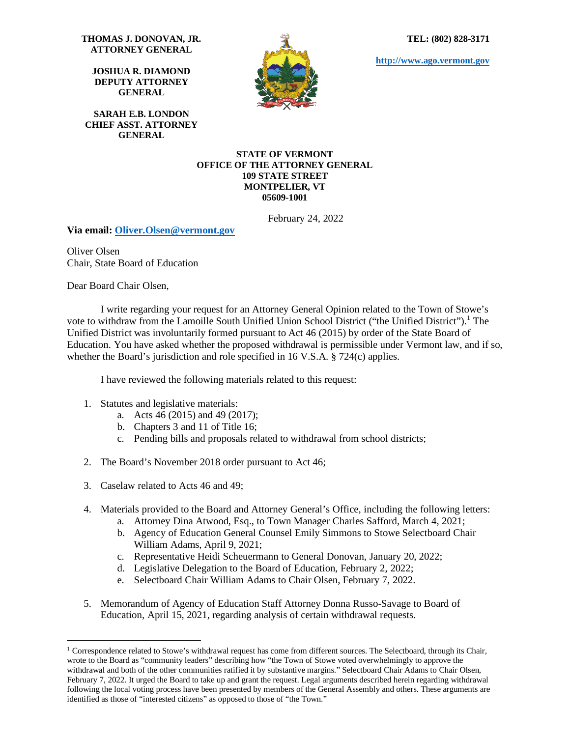**TEL: (802) 828-3171**

**[http://www.ago.vermont.gov](http://www.ago.vermont.gov/)**

**THOMAS J. DONOVAN, JR. ATTORNEY GENERAL**

**JOSHUA R. DIAMOND DEPUTY ATTORNEY GENERAL**

**SARAH E.B. LONDON CHIEF ASST. ATTORNEY GENERAL**



#### **STATE OF VERMONT OFFICE OF THE ATTORNEY GENERAL 109 STATE STREET MONTPELIER, VT 05609-1001**

February 24, 2022

**Via email: [Oliver.Olsen@vermont.gov](mailto:Oliver.Olsen@vermont.gov)** 

Oliver Olsen Chair, State Board of Education

Dear Board Chair Olsen,

I write regarding your request for an Attorney General Opinion related to the Town of Stowe's vote to withdraw from the Lamoille South Unified Union School District ("the Unified District").<sup>[1](#page-0-0)</sup> The Unified District was involuntarily formed pursuant to Act 46 (2015) by order of the State Board of Education. You have asked whether the proposed withdrawal is permissible under Vermont law, and if so, whether the Board's jurisdiction and role specified in 16 V.S.A. § 724(c) applies.

I have reviewed the following materials related to this request:

- 1. Statutes and legislative materials:
	- a. Acts 46 (2015) and 49 (2017);
	- b. Chapters 3 and 11 of Title 16;
	- c. Pending bills and proposals related to withdrawal from school districts;
- 2. The Board's November 2018 order pursuant to Act 46;
- 3. Caselaw related to Acts 46 and 49;
- 4. Materials provided to the Board and Attorney General's Office, including the following letters:
	- a. Attorney Dina Atwood, Esq., to Town Manager Charles Safford, March 4, 2021;
	- b. Agency of Education General Counsel Emily Simmons to Stowe Selectboard Chair William Adams, April 9, 2021;
	- c. Representative Heidi Scheuermann to General Donovan, January 20, 2022;
	- d. Legislative Delegation to the Board of Education, February 2, 2022;
	- e. Selectboard Chair William Adams to Chair Olsen, February 7, 2022.
- 5. Memorandum of Agency of Education Staff Attorney Donna Russo-Savage to Board of Education, April 15, 2021, regarding analysis of certain withdrawal requests.

<span id="page-0-0"></span><sup>&</sup>lt;sup>1</sup> Correspondence related to Stowe's withdrawal request has come from different sources. The Selectboard, through its Chair, wrote to the Board as "community leaders" describing how "the Town of Stowe voted overwhelmingly to approve the withdrawal and both of the other communities ratified it by substantive margins." Selectboard Chair Adams to Chair Olsen, February 7, 2022. It urged the Board to take up and grant the request. Legal arguments described herein regarding withdrawal following the local voting process have been presented by members of the General Assembly and others. These arguments are identified as those of "interested citizens" as opposed to those of "the Town."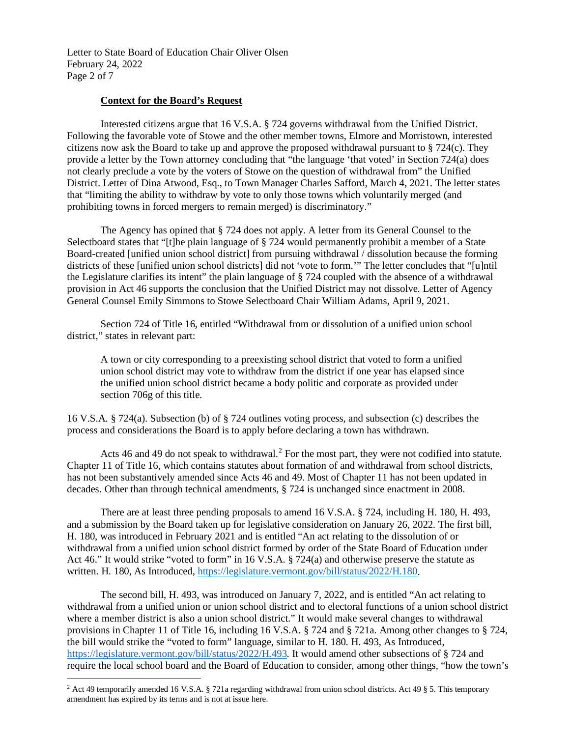Letter to State Board of Education Chair Oliver Olsen February 24, 2022 Page 2 of 7

# **Context for the Board's Request**

Interested citizens argue that 16 V.S.A. § 724 governs withdrawal from the Unified District. Following the favorable vote of Stowe and the other member towns, Elmore and Morristown, interested citizens now ask the Board to take up and approve the proposed withdrawal pursuant to § 724(c). They provide a letter by the Town attorney concluding that "the language 'that voted' in Section 724(a) does not clearly preclude a vote by the voters of Stowe on the question of withdrawal from" the Unified District. Letter of Dina Atwood, Esq., to Town Manager Charles Safford, March 4, 2021. The letter states that "limiting the ability to withdraw by vote to only those towns which voluntarily merged (and prohibiting towns in forced mergers to remain merged) is discriminatory."

The Agency has opined that § 724 does not apply. A letter from its General Counsel to the Selectboard states that "[t]he plain language of § 724 would permanently prohibit a member of a State Board-created [unified union school district] from pursuing withdrawal / dissolution because the forming districts of these [unified union school districts] did not 'vote to form.'" The letter concludes that "[u]ntil the Legislature clarifies its intent" the plain language of § 724 coupled with the absence of a withdrawal provision in Act 46 supports the conclusion that the Unified District may not dissolve. Letter of Agency General Counsel Emily Simmons to Stowe Selectboard Chair William Adams, April 9, 2021.

Section 724 of Title 16, entitled "Withdrawal from or dissolution of a unified union school district," states in relevant part:

A town or city corresponding to a preexisting school district that voted to form a unified union school district may vote to withdraw from the district if one year has elapsed since the unified union school district became a body politic and corporate as provided under section 706g of this title.

16 V.S.A. § 724(a). Subsection (b) of § 724 outlines voting process, and subsection (c) describes the process and considerations the Board is to apply before declaring a town has withdrawn.

Acts 46 and 49 do not speak to withdrawal.<sup>[2](#page-1-0)</sup> For the most part, they were not codified into statute. Chapter 11 of Title 16, which contains statutes about formation of and withdrawal from school districts, has not been substantively amended since Acts 46 and 49. Most of Chapter 11 has not been updated in decades. Other than through technical amendments, § 724 is unchanged since enactment in 2008.

There are at least three pending proposals to amend 16 V.S.A. § 724, including H. 180, H. 493, and a submission by the Board taken up for legislative consideration on January 26, 2022. The first bill, H. 180, was introduced in February 2021 and is entitled "An act relating to the dissolution of or withdrawal from a unified union school district formed by order of the State Board of Education under Act 46." It would strike "voted to form" in 16 V.S.A. § 724(a) and otherwise preserve the statute as written. H. 180, As Introduced, [https://legislature.vermont.gov/bill/status/2022/H.180.](https://legislature.vermont.gov/bill/status/2022/H.180)

The second bill, H. 493, was introduced on January 7, 2022, and is entitled "An act relating to withdrawal from a unified union or union school district and to electoral functions of a union school district where a member district is also a union school district." It would make several changes to withdrawal provisions in Chapter 11 of Title 16, including 16 V.S.A. § 724 and § 721a. Among other changes to § 724, the bill would strike the "voted to form" language, similar to H. 180. H. 493, As Introduced, [https://legislature.vermont.gov/bill/status/2022/H.493.](https://legislature.vermont.gov/bill/status/2022/H.493) It would amend other subsections of § 724 and require the local school board and the Board of Education to consider, among other things, "how the town's

<span id="page-1-0"></span><sup>&</sup>lt;sup>2</sup> Act 49 temporarily amended 16 V.S.A. § 721a regarding withdrawal from union school districts. Act 49 § 5. This temporary amendment has expired by its terms and is not at issue here.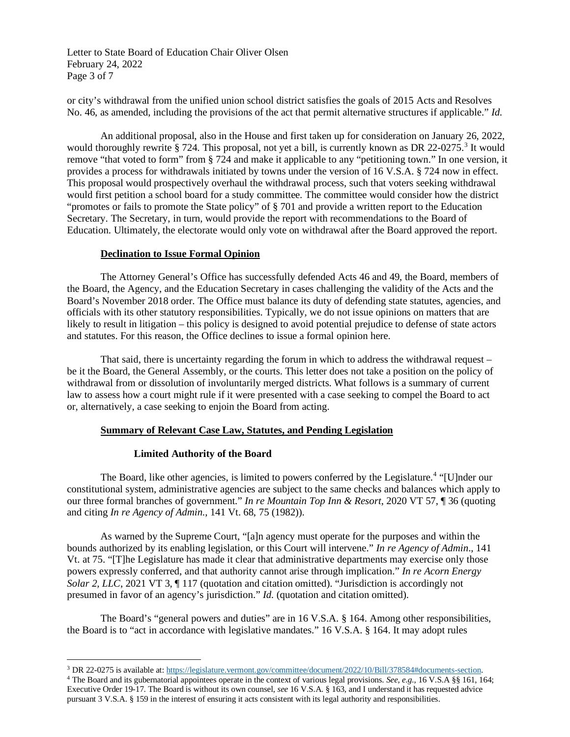Letter to State Board of Education Chair Oliver Olsen February 24, 2022 Page 3 of 7

or city's withdrawal from the unified union school district satisfies the goals of 2015 Acts and Resolves No. 46, as amended, including the provisions of the act that permit alternative structures if applicable." *Id*.

An additional proposal, also in the House and first taken up for consideration on January 26, 2022, would thoroughly rewrite § 724. This proposal, not yet a bill, is currently known as DR 22-0275.<sup>[3](#page-2-0)</sup> It would remove "that voted to form" from § 724 and make it applicable to any "petitioning town." In one version, it provides a process for withdrawals initiated by towns under the version of 16 V.S.A. § 724 now in effect. This proposal would prospectively overhaul the withdrawal process, such that voters seeking withdrawal would first petition a school board for a study committee. The committee would consider how the district "promotes or fails to promote the State policy" of § 701 and provide a written report to the Education Secretary. The Secretary, in turn, would provide the report with recommendations to the Board of Education. Ultimately, the electorate would only vote on withdrawal after the Board approved the report.

# **Declination to Issue Formal Opinion**

The Attorney General's Office has successfully defended Acts 46 and 49, the Board, members of the Board, the Agency, and the Education Secretary in cases challenging the validity of the Acts and the Board's November 2018 order. The Office must balance its duty of defending state statutes, agencies, and officials with its other statutory responsibilities. Typically, we do not issue opinions on matters that are likely to result in litigation – this policy is designed to avoid potential prejudice to defense of state actors and statutes. For this reason, the Office declines to issue a formal opinion here.

That said, there is uncertainty regarding the forum in which to address the withdrawal request – be it the Board, the General Assembly, or the courts. This letter does not take a position on the policy of withdrawal from or dissolution of involuntarily merged districts. What follows is a summary of current law to assess how a court might rule if it were presented with a case seeking to compel the Board to act or, alternatively, a case seeking to enjoin the Board from acting.

## **Summary of Relevant Case Law, Statutes, and Pending Legislation**

## **Limited Authority of the Board**

The Board, like other agencies, is limited to powers conferred by the Legislature.<sup>[4](#page-2-1)</sup> "[U]nder our constitutional system, administrative agencies are subject to the same checks and balances which apply to our three formal branches of government." *In re Mountain Top Inn & Resort*, 2020 VT 57, ¶ 36 (quoting and citing *In re Agency of Admin*., 141 Vt. 68, 75 (1982)).

As warned by the Supreme Court, "[a]n agency must operate for the purposes and within the bounds authorized by its enabling legislation, or this Court will intervene." *In re Agency of Admin*., 141 Vt. at 75. "[T]he Legislature has made it clear that administrative departments may exercise only those powers expressly conferred, and that authority cannot arise through implication." *In re Acorn Energy Solar 2, LLC*, 2021 VT 3,  $\P$  117 (quotation and citation omitted). "Jurisdiction is accordingly not presumed in favor of an agency's jurisdiction." *Id*. (quotation and citation omitted).

The Board's "general powers and duties" are in 16 V.S.A. § 164. Among other responsibilities, the Board is to "act in accordance with legislative mandates." 16 V.S.A. § 164. It may adopt rules

<span id="page-2-0"></span><sup>&</sup>lt;sup>3</sup> DR 22-0275 is available at[: https://legislature.vermont.gov/committee/document/2022/10/Bill/378584#documents-section.](https://legislature.vermont.gov/committee/document/2022/10/Bill/378584#documents-section)<br><sup>4</sup> The Board and its gubernatorial appointees operate in the context of various legal provisions.

<span id="page-2-1"></span>Executive Order 19-17. The Board is without its own counsel, *see* 16 V.S.A. § 163, and I understand it has requested advice pursuant 3 V.S.A. § 159 in the interest of ensuring it acts consistent with its legal authority and responsibilities.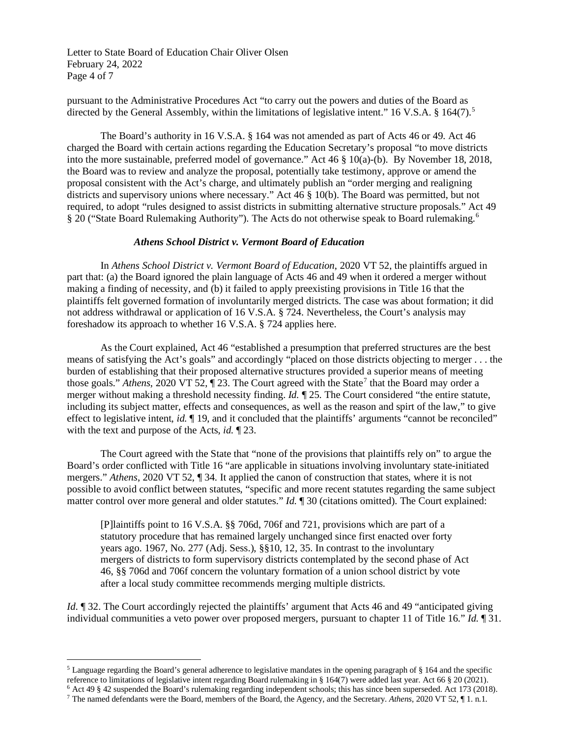Letter to State Board of Education Chair Oliver Olsen February 24, 2022 Page 4 of 7

pursuant to the Administrative Procedures Act "to carry out the powers and duties of the Board as directed by the General Assembly, within the limitations of legislative intent." 16 V.S.A. § 164(7).<sup>[5](#page-3-0)</sup>

The Board's authority in 16 V.S.A. § 164 was not amended as part of Acts 46 or 49. Act 46 charged the Board with certain actions regarding the Education Secretary's proposal "to move districts into the more sustainable, preferred model of governance." Act 46 § 10(a)-(b). By November 18, 2018, the Board was to review and analyze the proposal, potentially take testimony, approve or amend the proposal consistent with the Act's charge, and ultimately publish an "order merging and realigning districts and supervisory unions where necessary." Act 46 § 10(b). The Board was permitted, but not required, to adopt "rules designed to assist districts in submitting alternative structure proposals." Act 49 § 20 ("State Board Rulemaking Authority"). The Acts do not otherwise speak to Board rulemaking.<sup>[6](#page-3-1)</sup>

### *Athens School District v. Vermont Board of Education*

In *Athens School District v. Vermont Board of Education*, 2020 VT 52, the plaintiffs argued in part that: (a) the Board ignored the plain language of Acts 46 and 49 when it ordered a merger without making a finding of necessity, and (b) it failed to apply preexisting provisions in Title 16 that the plaintiffs felt governed formation of involuntarily merged districts. The case was about formation; it did not address withdrawal or application of 16 V.S.A. § 724. Nevertheless, the Court's analysis may foreshadow its approach to whether 16 V.S.A. § 724 applies here.

As the Court explained, Act 46 "established a presumption that preferred structures are the best means of satisfying the Act's goals" and accordingly "placed on those districts objecting to merger . . . the burden of establishing that their proposed alternative structures provided a superior means of meeting those goals." *Athens*, 2020 VT 52, 1 23. The Court agreed with the State<sup>[7](#page-3-2)</sup> that the Board may order a merger without making a threshold necessity finding. *Id.* ¶ 25. The Court considered "the entire statute, including its subject matter, effects and consequences, as well as the reason and spirt of the law," to give effect to legislative intent, *id.*  $\P$  19, and it concluded that the plaintiffs' arguments "cannot be reconciled" with the text and purpose of the Acts, *id.* ¶ 23.

The Court agreed with the State that "none of the provisions that plaintiffs rely on" to argue the Board's order conflicted with Title 16 "are applicable in situations involving involuntary state-initiated mergers." *Athens*, 2020 VT 52, ¶ 34. It applied the canon of construction that states, where it is not possible to avoid conflict between statutes, "specific and more recent statutes regarding the same subject matter control over more general and older statutes." *Id*. ¶ 30 (citations omitted). The Court explained:

[P]laintiffs point to 16 V.S.A. §§ 706d, 706f and 721, provisions which are part of a statutory procedure that has remained largely unchanged since first enacted over forty years ago. 1967, No. 277 (Adj. Sess.), §§10, 12, 35. In contrast to the involuntary mergers of districts to form supervisory districts contemplated by the second phase of Act 46, §§ 706d and 706f concern the voluntary formation of a union school district by vote after a local study committee recommends merging multiple districts.

*Id*. **[32.]** The Court accordingly rejected the plaintiffs' argument that Acts 46 and 49 "anticipated giving individual communities a veto power over proposed mergers, pursuant to chapter 11 of Title 16." *Id.* ¶ 31.

<span id="page-3-0"></span><sup>5</sup> Language regarding the Board's general adherence to legislative mandates in the opening paragraph of § 164 and the specific reference to limitations of legislative intent regarding Board rulemaking in § 164(7) were added last year. Act 66 § 20 (2021).

<span id="page-3-2"></span><span id="page-3-1"></span> $\frac{6}{7}$  Act 49 § 42 suspended the Board's rulemaking regarding independent schools; this has since been superseded. Act 173 (2018).<br><sup>7</sup> The named defendants were the Board, members of the Board, the Agency, and the Secr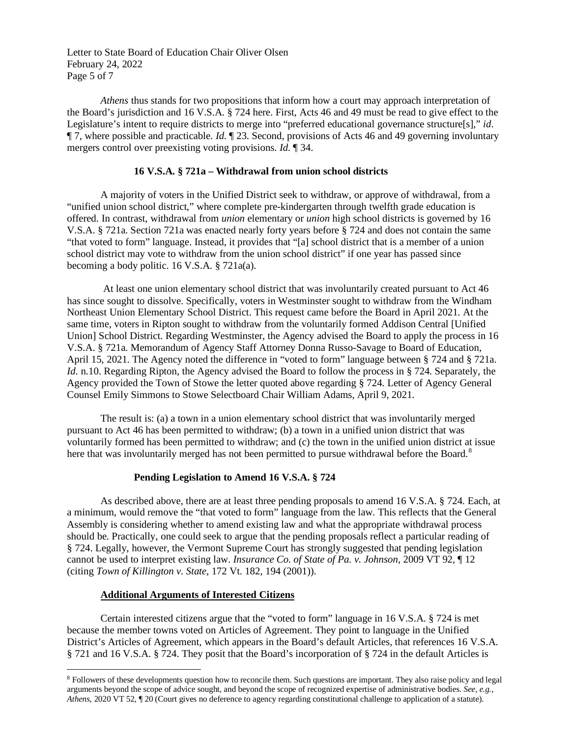Letter to State Board of Education Chair Oliver Olsen February 24, 2022 Page 5 of 7

*Athens* thus stands for two propositions that inform how a court may approach interpretation of the Board's jurisdiction and 16 V.S.A. § 724 here. First, Acts 46 and 49 must be read to give effect to the Legislature's intent to require districts to merge into "preferred educational governance structure[s]," *id*. ¶ 7, where possible and practicable. *Id*. ¶ 23. Second, provisions of Acts 46 and 49 governing involuntary mergers control over preexisting voting provisions. *Id*. ¶ 34.

### **16 V.S.A. § 721a – Withdrawal from union school districts**

A majority of voters in the Unified District seek to withdraw, or approve of withdrawal, from a "unified union school district," where complete pre-kindergarten through twelfth grade education is offered. In contrast, withdrawal from *union* elementary or *union* high school districts is governed by 16 V.S.A. § 721a. Section 721a was enacted nearly forty years before § 724 and does not contain the same "that voted to form" language. Instead, it provides that "[a] school district that is a member of a union school district may vote to withdraw from the union school district" if one year has passed since becoming a body politic. 16 V.S.A. § 721a(a).

At least one union elementary school district that was involuntarily created pursuant to Act 46 has since sought to dissolve. Specifically, voters in Westminster sought to withdraw from the Windham Northeast Union Elementary School District. This request came before the Board in April 2021. At the same time, voters in Ripton sought to withdraw from the voluntarily formed Addison Central [Unified Union] School District. Regarding Westminster, the Agency advised the Board to apply the process in 16 V.S.A. § 721a. Memorandum of Agency Staff Attorney Donna Russo-Savage to Board of Education, April 15, 2021. The Agency noted the difference in "voted to form" language between § 724 and § 721a. *Id.* n.10. Regarding Ripton, the Agency advised the Board to follow the process in § 724. Separately, the Agency provided the Town of Stowe the letter quoted above regarding § 724. Letter of Agency General Counsel Emily Simmons to Stowe Selectboard Chair William Adams, April 9, 2021.

The result is: (a) a town in a union elementary school district that was involuntarily merged pursuant to Act 46 has been permitted to withdraw; (b) a town in a unified union district that was voluntarily formed has been permitted to withdraw; and (c) the town in the unified union district at issue here that was involuntarily merged has not been permitted to pursue withdrawal before the Board.<sup>[8](#page-4-0)</sup>

## **Pending Legislation to Amend 16 V.S.A. § 724**

As described above, there are at least three pending proposals to amend 16 V.S.A. § 724. Each, at a minimum, would remove the "that voted to form" language from the law. This reflects that the General Assembly is considering whether to amend existing law and what the appropriate withdrawal process should be. Practically, one could seek to argue that the pending proposals reflect a particular reading of § 724. Legally, however, the Vermont Supreme Court has strongly suggested that pending legislation cannot be used to interpret existing law. *Insurance Co. of State of Pa. v. Johnson*, 2009 VT 92, ¶ 12 (citing *Town of Killington v. State*, 172 Vt. 182, 194 (2001)).

#### **Additional Arguments of Interested Citizens**

Certain interested citizens argue that the "voted to form" language in 16 V.S.A. § 724 is met because the member towns voted on Articles of Agreement. They point to language in the Unified District's Articles of Agreement, which appears in the Board's default Articles, that references 16 V.S.A. § 721 and 16 V.S.A. § 724. They posit that the Board's incorporation of § 724 in the default Articles is

<span id="page-4-0"></span><sup>8</sup> Followers of these developments question how to reconcile them. Such questions are important. They also raise policy and legal arguments beyond the scope of advice sought, and beyond the scope of recognized expertise of administrative bodies. *See, e.g., Athens*, 2020 VT 52, ¶ 20 (Court gives no deference to agency regarding constitutional challenge to application of a statute).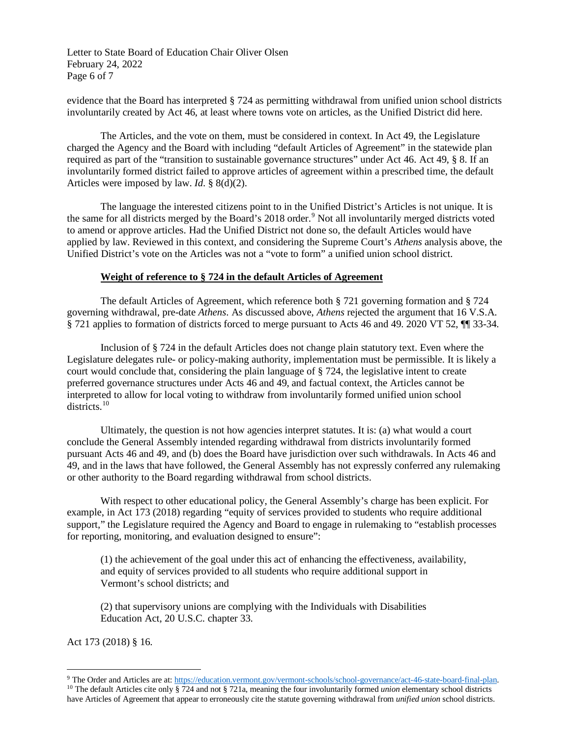Letter to State Board of Education Chair Oliver Olsen February 24, 2022 Page 6 of 7

evidence that the Board has interpreted § 724 as permitting withdrawal from unified union school districts involuntarily created by Act 46, at least where towns vote on articles, as the Unified District did here.

The Articles, and the vote on them, must be considered in context. In Act 49, the Legislature charged the Agency and the Board with including "default Articles of Agreement" in the statewide plan required as part of the "transition to sustainable governance structures" under Act 46. Act 49, § 8. If an involuntarily formed district failed to approve articles of agreement within a prescribed time, the default Articles were imposed by law. *Id*. § 8(d)(2).

The language the interested citizens point to in the Unified District's Articles is not unique. It is the same for all districts merged by the Board's 2018 order.<sup>[9](#page-5-0)</sup> Not all involuntarily merged districts voted to amend or approve articles. Had the Unified District not done so, the default Articles would have applied by law. Reviewed in this context, and considering the Supreme Court's *Athens* analysis above, the Unified District's vote on the Articles was not a "vote to form" a unified union school district.

### **Weight of reference to § 724 in the default Articles of Agreement**

The default Articles of Agreement, which reference both § 721 governing formation and § 724 governing withdrawal, pre-date *Athens*. As discussed above, *Athens* rejected the argument that 16 V.S.A. § 721 applies to formation of districts forced to merge pursuant to Acts 46 and 49. 2020 VT 52, ¶¶ 33-34.

Inclusion of § 724 in the default Articles does not change plain statutory text. Even where the Legislature delegates rule- or policy-making authority, implementation must be permissible. It is likely a court would conclude that, considering the plain language of § 724, the legislative intent to create preferred governance structures under Acts 46 and 49, and factual context, the Articles cannot be interpreted to allow for local voting to withdraw from involuntarily formed unified union school districts.<sup>[10](#page-5-1)</sup>

Ultimately, the question is not how agencies interpret statutes. It is: (a) what would a court conclude the General Assembly intended regarding withdrawal from districts involuntarily formed pursuant Acts 46 and 49, and (b) does the Board have jurisdiction over such withdrawals. In Acts 46 and 49, and in the laws that have followed, the General Assembly has not expressly conferred any rulemaking or other authority to the Board regarding withdrawal from school districts.

With respect to other educational policy, the General Assembly's charge has been explicit. For example, in Act 173 (2018) regarding "equity of services provided to students who require additional support," the Legislature required the Agency and Board to engage in rulemaking to "establish processes for reporting, monitoring, and evaluation designed to ensure":

(1) the achievement of the goal under this act of enhancing the effectiveness, availability, and equity of services provided to all students who require additional support in Vermont's school districts; and

(2) that supervisory unions are complying with the Individuals with Disabilities Education Act, 20 U.S.C. chapter 33.

Act 173 (2018) § 16.

<span id="page-5-1"></span><span id="page-5-0"></span><sup>&</sup>lt;sup>9</sup> The Order and Articles are at[: https://education.vermont.gov/vermont-schools/school-governance/act-46-state-board-final-plan.](https://education.vermont.gov/vermont-schools/school-governance/act-46-state-board-final-plan)<br><sup>10</sup> The default Articles cite only § 724 and not § 721a, meaning the four involuntarily fo have Articles of Agreement that appear to erroneously cite the statute governing withdrawal from *unified union* school districts.